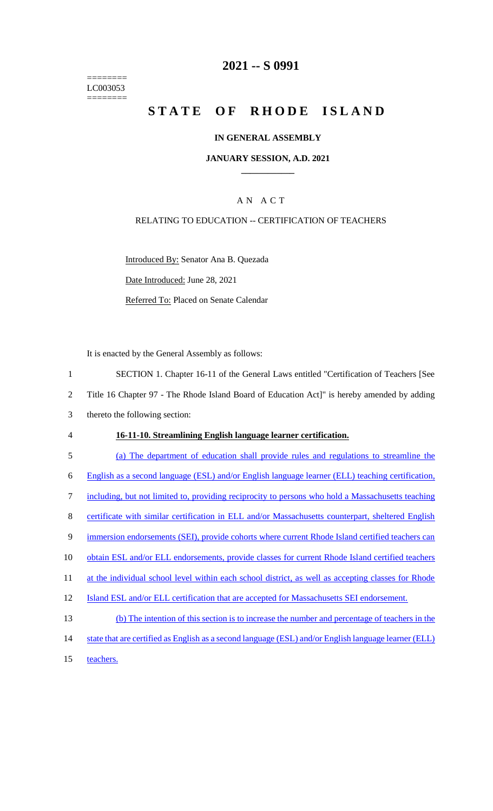======== LC003053  $=$ 

## **2021 -- S 0991**

# STATE OF RHODE ISLAND

## **IN GENERAL ASSEMBLY**

#### **JANUARY SESSION, A.D. 2021 \_\_\_\_\_\_\_\_\_\_\_\_**

## A N A C T

## RELATING TO EDUCATION -- CERTIFICATION OF TEACHERS

Introduced By: Senator Ana B. Quezada Date Introduced: June 28, 2021 Referred To: Placed on Senate Calendar

It is enacted by the General Assembly as follows:

| $\mathbf{1}$   | SECTION 1. Chapter 16-11 of the General Laws entitled "Certification of Teachers [See                |
|----------------|------------------------------------------------------------------------------------------------------|
| $\overline{2}$ | Title 16 Chapter 97 - The Rhode Island Board of Education Act]" is hereby amended by adding          |
| 3              | thereto the following section:                                                                       |
| 4              | 16-11-10. Streamlining English language learner certification.                                       |
| 5              | (a) The department of education shall provide rules and regulations to streamline the                |
| 6              | English as a second language (ESL) and/or English language learner (ELL) teaching certification,     |
| 7              | including, but not limited to, providing reciprocity to persons who hold a Massachusetts teaching    |
| 8              | certificate with similar certification in ELL and/or Massachusetts counterpart, sheltered English    |
| 9              | immersion endorsements (SEI), provide cohorts where current Rhode Island certified teachers can      |
| 10             | obtain ESL and/or ELL endorsements, provide classes for current Rhode Island certified teachers      |
| 11             | at the individual school level within each school district, as well as accepting classes for Rhode   |
| 12             | Island ESL and/or ELL certification that are accepted for Massachusetts SEI endorsement.             |
| 13             | (b) The intention of this section is to increase the number and percentage of teachers in the        |
| 14             | state that are certified as English as a second language (ESL) and/or English language learner (ELL) |
| 15             | teachers.                                                                                            |
|                |                                                                                                      |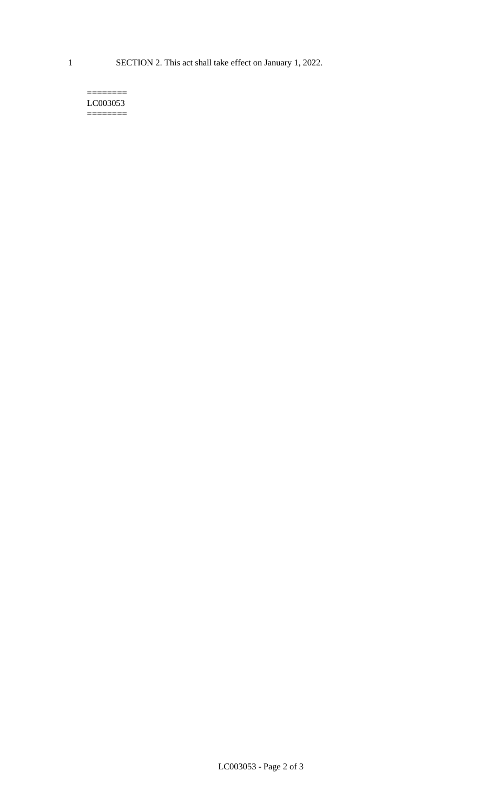#### $=$ LC003053 ========